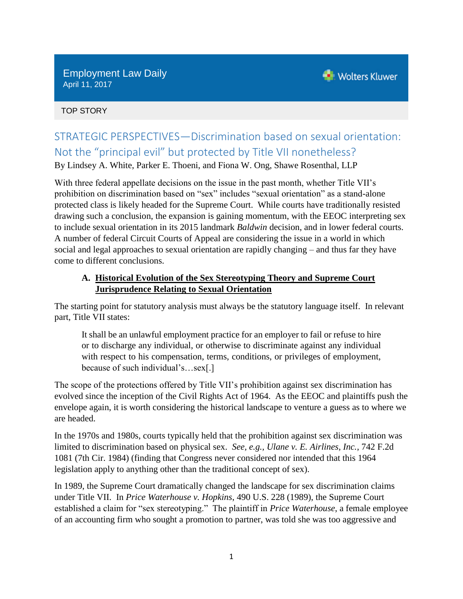Employment Law Daily April 11, 2017



TOP STORY

# STRATEGIC PERSPECTIVES—Discrimination based on sexual orientation: Not the "principal evil" but protected by Title VII nonetheless?

By Lindsey A. White, Parker E. Thoeni, and Fiona W. Ong, Shawe Rosenthal, LLP

With three federal appellate decisions on the issue in the past month, whether Title VII's prohibition on discrimination based on "sex" includes "sexual orientation" as a stand-alone protected class is likely headed for the Supreme Court. While courts have traditionally resisted drawing such a conclusion, the expansion is gaining momentum, with the EEOC interpreting sex to include sexual orientation in its 2015 landmark *Baldwin* decision, and in lower federal courts. A number of federal Circuit Courts of Appeal are considering the issue in a world in which social and legal approaches to sexual orientation are rapidly changing – and thus far they have come to different conclusions.

## **A. Historical Evolution of the Sex Stereotyping Theory and Supreme Court Jurisprudence Relating to Sexual Orientation**

The starting point for statutory analysis must always be the statutory language itself. In relevant part, Title VII states:

It shall be an unlawful employment practice for an employer to fail or refuse to hire or to discharge any individual, or otherwise to discriminate against any individual with respect to his compensation, terms, conditions, or privileges of employment, because of such individual's…sex[.]

The scope of the protections offered by Title VII's prohibition against sex discrimination has evolved since the inception of the Civil Rights Act of 1964. As the EEOC and plaintiffs push the envelope again, it is worth considering the historical landscape to venture a guess as to where we are headed.

In the 1970s and 1980s, courts typically held that the prohibition against sex discrimination was limited to discrimination based on physical sex. *See, e.g., Ulane v. E. Airlines, Inc.*, 742 F.2d 1081 (7th Cir. 1984) (finding that Congress never considered nor intended that this 1964 legislation apply to anything other than the traditional concept of sex).

In 1989, the Supreme Court dramatically changed the landscape for sex discrimination claims under Title VII. In *Price Waterhouse v. Hopkins*, 490 U.S. 228 (1989), the Supreme Court established a claim for "sex stereotyping." The plaintiff in *Price Waterhouse*, a female employee of an accounting firm who sought a promotion to partner, was told she was too aggressive and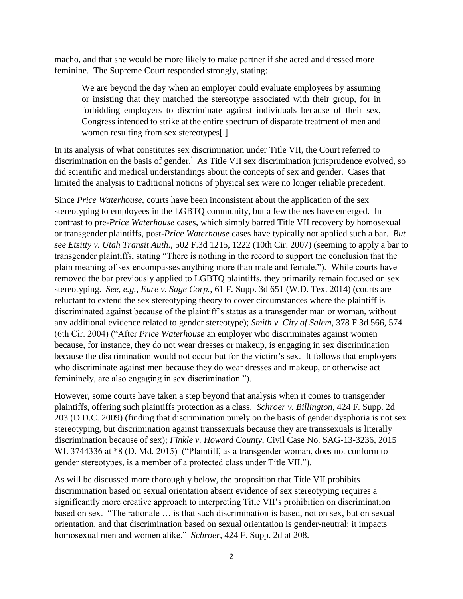macho, and that she would be more likely to make partner if she acted and dressed more feminine. The Supreme Court responded strongly, stating:

We are beyond the day when an employer could evaluate employees by assuming or insisting that they matched the stereotype associated with their group, for in forbidding employers to discriminate against individuals because of their sex, Congress intended to strike at the entire spectrum of disparate treatment of men and women resulting from sex stereotypes[.]

In its analysis of what constitutes sex discrimination under Title VII, the Court referred to discrimination on the basis of gender.<sup>i</sup> As Title VII sex discrimination jurisprudence evolved, so did scientific and medical understandings about the concepts of sex and gender. Cases that limited the analysis to traditional notions of physical sex were no longer reliable precedent.

Since *Price Waterhouse*, courts have been inconsistent about the application of the sex stereotyping to employees in the LGBTQ community, but a few themes have emerged. In contrast to pre-*Price Waterhouse* cases, which simply barred Title VII recovery by homosexual or transgender plaintiffs, post-*Price Waterhouse* cases have typically not applied such a bar. *But see Etsitty v. Utah Transit Auth.*, 502 F.3d 1215, 1222 (10th Cir. 2007) (seeming to apply a bar to transgender plaintiffs, stating "There is nothing in the record to support the conclusion that the plain meaning of sex encompasses anything more than male and female."). While courts have removed the bar previously applied to LGBTQ plaintiffs, they primarily remain focused on sex stereotyping. *See, e.g., Eure v. Sage Corp.*, 61 F. Supp. 3d 651 (W.D. Tex. 2014) (courts are reluctant to extend the sex stereotyping theory to cover circumstances where the plaintiff is discriminated against because of the plaintiff's status as a transgender man or woman, without any additional evidence related to gender stereotype); *Smith v. City of Salem*, 378 F.3d 566, 574 (6th Cir. 2004) ("After *Price Waterhouse* an employer who discriminates against women because, for instance, they do not wear dresses or makeup, is engaging in sex discrimination because the discrimination would not occur but for the victim's sex. It follows that employers who discriminate against men because they do wear dresses and makeup, or otherwise act femininely, are also engaging in sex discrimination.").

However, some courts have taken a step beyond that analysis when it comes to transgender plaintiffs, offering such plaintiffs protection as a class. *Schroer v. Billington*, 424 F. Supp. 2d 203 (D.D.C. 2009) (finding that discrimination purely on the basis of gender dysphoria is not sex stereotyping, but discrimination against transsexuals because they are transsexuals is literally discrimination because of sex); *Finkle v. Howard County*, Civil Case No. SAG-13-3236, 2015 WL 3744336 at \*8 (D. Md. 2015) ("Plaintiff, as a transgender woman, does not conform to gender stereotypes, is a member of a protected class under Title VII.").

As will be discussed more thoroughly below, the proposition that Title VII prohibits discrimination based on sexual orientation absent evidence of sex stereotyping requires a significantly more creative approach to interpreting Title VII's prohibition on discrimination based on sex. "The rationale … is that such discrimination is based, not on sex, but on sexual orientation, and that discrimination based on sexual orientation is gender-neutral: it impacts homosexual men and women alike." *Schroer*, 424 F. Supp. 2d at 208.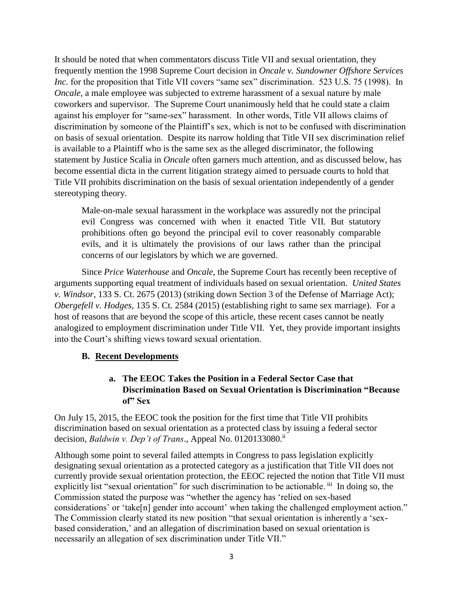It should be noted that when commentators discuss Title VII and sexual orientation, they frequently mention the 1998 Supreme Court decision in *Oncale v. Sundowner Offshore Services Inc.* for the proposition that Title VII covers "same sex" discrimination. 523 U.S. 75 (1998). In *Oncale*, a male employee was subjected to extreme harassment of a sexual nature by male coworkers and supervisor. The Supreme Court unanimously held that he could state a claim against his employer for "same-sex" harassment. In other words, Title VII allows claims of discrimination by someone of the Plaintiff's sex, which is not to be confused with discrimination on basis of sexual orientation. Despite its narrow holding that Title VII sex discrimination relief is available to a Plaintiff who is the same sex as the alleged discriminator, the following statement by Justice Scalia in *Oncale* often garners much attention, and as discussed below, has become essential dicta in the current litigation strategy aimed to persuade courts to hold that Title VII prohibits discrimination on the basis of sexual orientation independently of a gender stereotyping theory.

Male-on-male sexual harassment in the workplace was assuredly not the principal evil Congress was concerned with when it enacted Title VII. But statutory prohibitions often go beyond the principal evil to cover reasonably comparable evils, and it is ultimately the provisions of our laws rather than the principal concerns of our legislators by which we are governed.

Since *Price Waterhouse* and *Oncale*, the Supreme Court has recently been receptive of arguments supporting equal treatment of individuals based on sexual orientation. *United States v. Windsor*, 133 S. Ct. 2675 (2013) (striking down Section 3 of the Defense of Marriage Act); *Obergefell v. Hodges*, 135 S. Ct. 2584 (2015) (establishing right to same sex marriage). For a host of reasons that are beyond the scope of this article, these recent cases cannot be neatly analogized to employment discrimination under Title VII. Yet, they provide important insights into the Court's shifting views toward sexual orientation.

#### **B. Recent Developments**

## **a. The EEOC Takes the Position in a Federal Sector Case that Discrimination Based on Sexual Orientation is Discrimination "Because of" Sex**

On July 15, 2015, the EEOC took the position for the first time that Title VII prohibits discrimination based on sexual orientation as a protected class by issuing a federal sector decision, *Baldwin v. Dep't of Trans.*, Appeal No. 0120133080.<sup>ii</sup>

Although some point to several failed attempts in Congress to pass legislation explicitly designating sexual orientation as a protected category as a justification that Title VII does not currently provide sexual orientation protection, the EEOC rejected the notion that Title VII must explicitly list "sexual orientation" for such discrimination to be actionable. iii In doing so, the Commission stated the purpose was "whether the agency has 'relied on sex-based considerations' or 'take[n] gender into account' when taking the challenged employment action." The Commission clearly stated its new position "that sexual orientation is inherently a 'sexbased consideration,' and an allegation of discrimination based on sexual orientation is necessarily an allegation of sex discrimination under Title VII."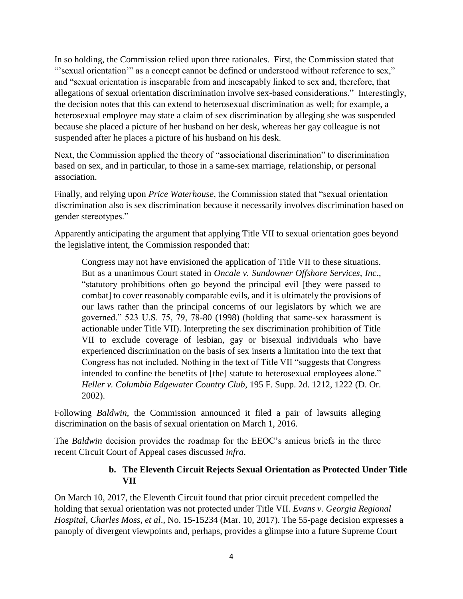In so holding, the Commission relied upon three rationales. First, the Commission stated that "'sexual orientation'" as a concept cannot be defined or understood without reference to sex," and "sexual orientation is inseparable from and inescapably linked to sex and, therefore, that allegations of sexual orientation discrimination involve sex-based considerations." Interestingly, the decision notes that this can extend to heterosexual discrimination as well; for example, a heterosexual employee may state a claim of sex discrimination by alleging she was suspended because she placed a picture of her husband on her desk, whereas her gay colleague is not suspended after he places a picture of his husband on his desk.

Next, the Commission applied the theory of "associational discrimination" to discrimination based on sex, and in particular, to those in a same-sex marriage, relationship, or personal association.

Finally, and relying upon *Price Waterhouse*, the Commission stated that "sexual orientation discrimination also is sex discrimination because it necessarily involves discrimination based on gender stereotypes."

Apparently anticipating the argument that applying Title VII to sexual orientation goes beyond the legislative intent, the Commission responded that:

Congress may not have envisioned the application of Title VII to these situations. But as a unanimous Court stated in *Oncale v. Sundowner Offshore Services, Inc*., "statutory prohibitions often go beyond the principal evil [they were passed to combat] to cover reasonably comparable evils, and it is ultimately the provisions of our laws rather than the principal concerns of our legislators by which we are governed." 523 U.S. 75, 79, 78-80 (1998) (holding that same-sex harassment is actionable under Title VII). Interpreting the sex discrimination prohibition of Title VII to exclude coverage of lesbian, gay or bisexual individuals who have experienced discrimination on the basis of sex inserts a limitation into the text that Congress has not included. Nothing in the text of Title VII "suggests that Congress intended to confine the benefits of [the] statute to heterosexual employees alone." *Heller v. Columbia Edgewater Country Club*, 195 F. Supp. 2d. 1212, 1222 (D. Or. 2002).

Following *Baldwin*, the Commission announced it filed a pair of lawsuits alleging discrimination on the basis of sexual orientation on March 1, 2016.

The *Baldwin* decision provides the roadmap for the EEOC's amicus briefs in the three recent Circuit Court of Appeal cases discussed *infra*.

#### **b. The Eleventh Circuit Rejects Sexual Orientation as Protected Under Title VII**

On March 10, 2017, the Eleventh Circuit found that prior circuit precedent compelled the holding that sexual orientation was not protected under Title VII. *Evans v. Georgia Regional Hospital*, *Charles Moss, et al*., No. 15-15234 (Mar. 10, 2017). The 55-page decision expresses a panoply of divergent viewpoints and, perhaps, provides a glimpse into a future Supreme Court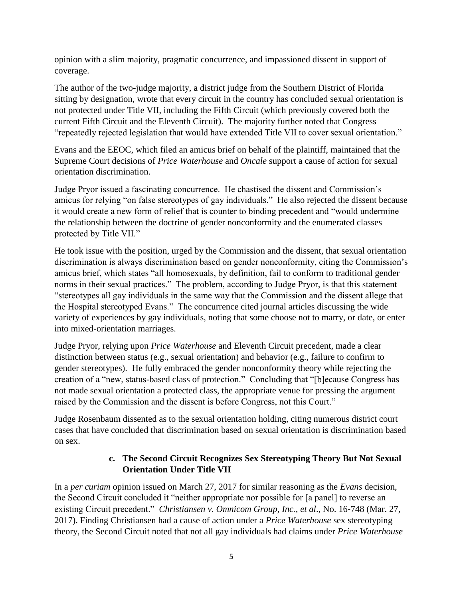opinion with a slim majority, pragmatic concurrence, and impassioned dissent in support of coverage.

The author of the two-judge majority, a district judge from the Southern District of Florida sitting by designation, wrote that every circuit in the country has concluded sexual orientation is not protected under Title VII, including the Fifth Circuit (which previously covered both the current Fifth Circuit and the Eleventh Circuit). The majority further noted that Congress "repeatedly rejected legislation that would have extended Title VII to cover sexual orientation."

Evans and the EEOC, which filed an amicus brief on behalf of the plaintiff, maintained that the Supreme Court decisions of *Price Waterhouse* and *Oncale* support a cause of action for sexual orientation discrimination.

Judge Pryor issued a fascinating concurrence. He chastised the dissent and Commission's amicus for relying "on false stereotypes of gay individuals." He also rejected the dissent because it would create a new form of relief that is counter to binding precedent and "would undermine the relationship between the doctrine of gender nonconformity and the enumerated classes protected by Title VII."

He took issue with the position, urged by the Commission and the dissent, that sexual orientation discrimination is always discrimination based on gender nonconformity, citing the Commission's amicus brief, which states "all homosexuals, by definition, fail to conform to traditional gender norms in their sexual practices." The problem, according to Judge Pryor, is that this statement "stereotypes all gay individuals in the same way that the Commission and the dissent allege that the Hospital stereotyped Evans." The concurrence cited journal articles discussing the wide variety of experiences by gay individuals, noting that some choose not to marry, or date, or enter into mixed-orientation marriages.

Judge Pryor, relying upon *Price Waterhouse* and Eleventh Circuit precedent, made a clear distinction between status (e.g., sexual orientation) and behavior (e.g., failure to confirm to gender stereotypes). He fully embraced the gender nonconformity theory while rejecting the creation of a "new, status-based class of protection." Concluding that "[b]ecause Congress has not made sexual orientation a protected class, the appropriate venue for pressing the argument raised by the Commission and the dissent is before Congress, not this Court."

Judge Rosenbaum dissented as to the sexual orientation holding, citing numerous district court cases that have concluded that discrimination based on sexual orientation is discrimination based on sex.

## **c. The Second Circuit Recognizes Sex Stereotyping Theory But Not Sexual Orientation Under Title VII**

In a *per curiam* opinion issued on March 27, 2017 for similar reasoning as the *Evans* decision, the Second Circuit concluded it "neither appropriate nor possible for [a panel] to reverse an existing Circuit precedent." *Christiansen v. Omnicom Group, Inc., et al*., No. 16‐748 (Mar. 27, 2017). Finding Christiansen had a cause of action under a *Price Waterhouse* sex stereotyping theory, the Second Circuit noted that not all gay individuals had claims under *Price Waterhouse*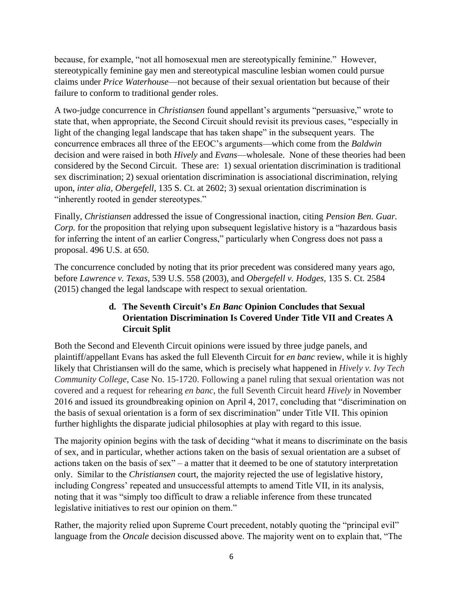because, for example, "not all homosexual men are stereotypically feminine." However, stereotypically feminine gay men and stereotypical masculine lesbian women could pursue claims under *Price Waterhouse*—not because of their sexual orientation but because of their failure to conform to traditional gender roles.

A two-judge concurrence in *Christiansen* found appellant's arguments "persuasive," wrote to state that, when appropriate, the Second Circuit should revisit its previous cases, "especially in light of the changing legal landscape that has taken shape" in the subsequent years. The concurrence embraces all three of the EEOC's arguments—which come from the *Baldwin* decision and were raised in both *Hively* and *Evans*—wholesale. None of these theories had been considered by the Second Circuit. These are: 1) sexual orientation discrimination is traditional sex discrimination; 2) sexual orientation discrimination is associational discrimination, relying upon, *inter alia, Obergefell*, 135 S. Ct. at 2602; 3) sexual orientation discrimination is "inherently rooted in gender stereotypes."

Finally, *Christiansen* addressed the issue of Congressional inaction, citing *Pension Ben. Guar. Corp.* for the proposition that relying upon subsequent legislative history is a "hazardous basis" for inferring the intent of an earlier Congress," particularly when Congress does not pass a proposal. 496 U.S. at 650.

The concurrence concluded by noting that its prior precedent was considered many years ago, before *Lawrence v. Texas*, 539 U.S. 558 (2003), and *Obergefell v. Hodges*, 135 S. Ct. 2584 (2015) changed the legal landscape with respect to sexual orientation.

# **d. The Seventh Circuit's** *En Banc* **Opinion Concludes that Sexual Orientation Discrimination Is Covered Under Title VII and Creates A Circuit Split**

Both the Second and Eleventh Circuit opinions were issued by three judge panels, and plaintiff/appellant Evans has asked the full Eleventh Circuit for *en banc* review, while it is highly likely that Christiansen will do the same, which is precisely what happened in *Hively v. Ivy Tech Community College*, Case No. 15-1720. Following a panel ruling that sexual orientation was not covered and a request for rehearing *en banc*, the full Seventh Circuit heard *Hively* in November 2016 and issued its groundbreaking opinion on April 4, 2017, concluding that "discrimination on the basis of sexual orientation is a form of sex discrimination" under Title VII. This opinion further highlights the disparate judicial philosophies at play with regard to this issue.

The majority opinion begins with the task of deciding "what it means to discriminate on the basis of sex, and in particular, whether actions taken on the basis of sexual orientation are a subset of actions taken on the basis of sex" – a matter that it deemed to be one of statutory interpretation only. Similar to the *Christiansen* court, the majority rejected the use of legislative history, including Congress' repeated and unsuccessful attempts to amend Title VII, in its analysis, noting that it was "simply too difficult to draw a reliable inference from these truncated legislative initiatives to rest our opinion on them."

Rather, the majority relied upon Supreme Court precedent, notably quoting the "principal evil" language from the *Oncale* decision discussed above. The majority went on to explain that, "The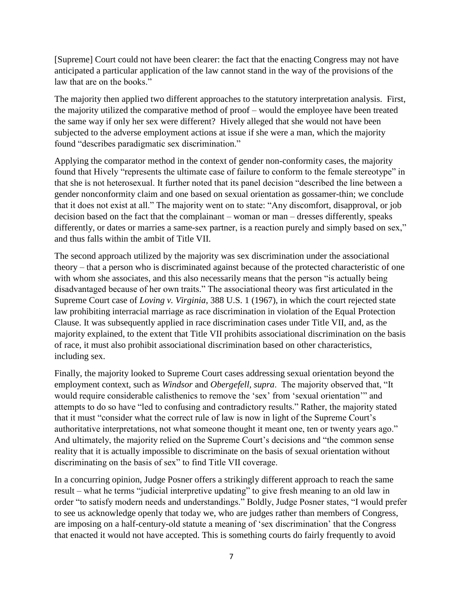[Supreme] Court could not have been clearer: the fact that the enacting Congress may not have anticipated a particular application of the law cannot stand in the way of the provisions of the law that are on the books."

The majority then applied two different approaches to the statutory interpretation analysis. First, the majority utilized the comparative method of proof – would the employee have been treated the same way if only her sex were different? Hively alleged that she would not have been subjected to the adverse employment actions at issue if she were a man, which the majority found "describes paradigmatic sex discrimination."

Applying the comparator method in the context of gender non-conformity cases, the majority found that Hively "represents the ultimate case of failure to conform to the female stereotype" in that she is not heterosexual. It further noted that its panel decision "described the line between a gender nonconformity claim and one based on sexual orientation as gossamer-thin; we conclude that it does not exist at all." The majority went on to state: "Any discomfort, disapproval, or job decision based on the fact that the complainant – woman or man – dresses differently, speaks differently, or dates or marries a same-sex partner, is a reaction purely and simply based on sex," and thus falls within the ambit of Title VII.

The second approach utilized by the majority was sex discrimination under the associational theory – that a person who is discriminated against because of the protected characteristic of one with whom she associates, and this also necessarily means that the person "is actually being disadvantaged because of her own traits." The associational theory was first articulated in the Supreme Court case of *Loving v. Virginia*, 388 U.S. 1 (1967), in which the court rejected state law prohibiting interracial marriage as race discrimination in violation of the Equal Protection Clause. It was subsequently applied in race discrimination cases under Title VII, and, as the majority explained, to the extent that Title VII prohibits associational discrimination on the basis of race, it must also prohibit associational discrimination based on other characteristics, including sex.

Finally, the majority looked to Supreme Court cases addressing sexual orientation beyond the employment context, such as *Windsor* and *Obergefell, supra*. The majority observed that, "It would require considerable calisthenics to remove the 'sex' from 'sexual orientation'" and attempts to do so have "led to confusing and contradictory results." Rather, the majority stated that it must "consider what the correct rule of law is now in light of the Supreme Court's authoritative interpretations, not what someone thought it meant one, ten or twenty years ago." And ultimately, the majority relied on the Supreme Court's decisions and "the common sense reality that it is actually impossible to discriminate on the basis of sexual orientation without discriminating on the basis of sex" to find Title VII coverage.

In a concurring opinion, Judge Posner offers a strikingly different approach to reach the same result – what he terms "judicial interpretive updating" to give fresh meaning to an old law in order "to satisfy modern needs and understandings." Boldly, Judge Posner states, "I would prefer to see us acknowledge openly that today we, who are judges rather than members of Congress, are imposing on a half-century-old statute a meaning of 'sex discrimination' that the Congress that enacted it would not have accepted. This is something courts do fairly frequently to avoid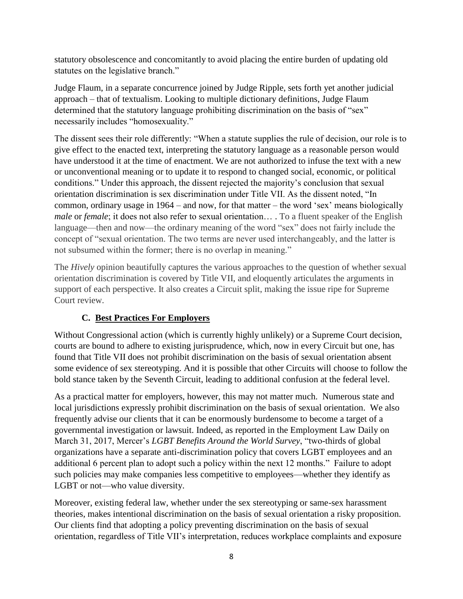statutory obsolescence and concomitantly to avoid placing the entire burden of updating old statutes on the legislative branch."

Judge Flaum, in a separate concurrence joined by Judge Ripple, sets forth yet another judicial approach – that of textualism. Looking to multiple dictionary definitions, Judge Flaum determined that the statutory language prohibiting discrimination on the basis of "sex" necessarily includes "homosexuality."

The dissent sees their role differently: "When a statute supplies the rule of decision, our role is to give effect to the enacted text, interpreting the statutory language as a reasonable person would have understood it at the time of enactment. We are not authorized to infuse the text with a new or unconventional meaning or to update it to respond to changed social, economic, or political conditions." Under this approach, the dissent rejected the majority's conclusion that sexual orientation discrimination is sex discrimination under Title VII. As the dissent noted, "In common, ordinary usage in 1964 – and now, for that matter – the word 'sex' means biologically *male* or *female*; it does not also refer to sexual orientation... . To a fluent speaker of the English language—then and now—the ordinary meaning of the word "sex" does not fairly include the concept of "sexual orientation. The two terms are never used interchangeably, and the latter is not subsumed within the former; there is no overlap in meaning."

The *Hively* opinion beautifully captures the various approaches to the question of whether sexual orientation discrimination is covered by Title VII, and eloquently articulates the arguments in support of each perspective. It also creates a Circuit split, making the issue ripe for Supreme Court review.

# **C. Best Practices For Employers**

Without Congressional action (which is currently highly unlikely) or a Supreme Court decision, courts are bound to adhere to existing jurisprudence, which, now in every Circuit but one, has found that Title VII does not prohibit discrimination on the basis of sexual orientation absent some evidence of sex stereotyping. And it is possible that other Circuits will choose to follow the bold stance taken by the Seventh Circuit, leading to additional confusion at the federal level.

As a practical matter for employers, however, this may not matter much. Numerous state and local jurisdictions expressly prohibit discrimination on the basis of sexual orientation. We also frequently advise our clients that it can be enormously burdensome to become a target of a governmental investigation or lawsuit. Indeed, as reported in the Employment Law Daily on March 31, 2017, Mercer's *LGBT Benefits Around the World Survey*, "two-thirds of global organizations have a separate anti-discrimination policy that covers LGBT employees and an additional 6 percent plan to adopt such a policy within the next 12 months." Failure to adopt such policies may make companies less competitive to employees—whether they identify as LGBT or not—who value diversity.

Moreover, existing federal law, whether under the sex stereotyping or same-sex harassment theories, makes intentional discrimination on the basis of sexual orientation a risky proposition. Our clients find that adopting a policy preventing discrimination on the basis of sexual orientation, regardless of Title VII's interpretation, reduces workplace complaints and exposure